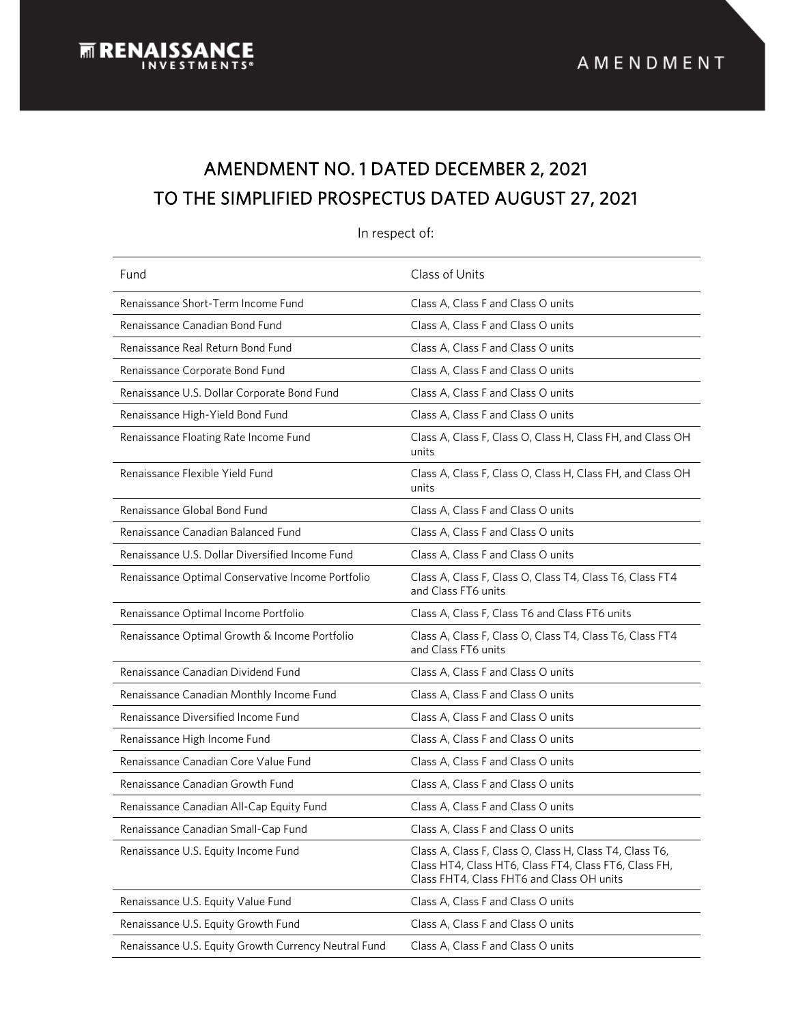# AMENDMENT NO. 1 DATED DECEMBER 2, 2021 TO THE SIMPLIFIED PROSPECTUS DATED AUGUST 27, 2021

| Fund                                                 | Class of Units                                                                                                                                                |  |
|------------------------------------------------------|---------------------------------------------------------------------------------------------------------------------------------------------------------------|--|
| Renaissance Short-Term Income Fund                   | Class A, Class F and Class O units                                                                                                                            |  |
| Renaissance Canadian Bond Fund                       | Class A, Class F and Class O units                                                                                                                            |  |
| Renaissance Real Return Bond Fund                    | Class A, Class F and Class O units                                                                                                                            |  |
| Renaissance Corporate Bond Fund                      | Class A, Class F and Class O units                                                                                                                            |  |
| Renaissance U.S. Dollar Corporate Bond Fund          | Class A, Class F and Class O units                                                                                                                            |  |
| Renaissance High-Yield Bond Fund                     | Class A, Class F and Class O units                                                                                                                            |  |
| Renaissance Floating Rate Income Fund                | Class A, Class F, Class O, Class H, Class FH, and Class OH<br>units                                                                                           |  |
| Renaissance Flexible Yield Fund                      | Class A, Class F, Class O, Class H, Class FH, and Class OH<br>units                                                                                           |  |
| Renaissance Global Bond Fund                         | Class A, Class F and Class O units                                                                                                                            |  |
| Renaissance Canadian Balanced Fund                   | Class A, Class F and Class O units                                                                                                                            |  |
| Renaissance U.S. Dollar Diversified Income Fund      | Class A, Class F and Class O units                                                                                                                            |  |
| Renaissance Optimal Conservative Income Portfolio    | Class A, Class F, Class O, Class T4, Class T6, Class FT4<br>and Class FT6 units                                                                               |  |
| Renaissance Optimal Income Portfolio                 | Class A, Class F, Class T6 and Class FT6 units                                                                                                                |  |
| Renaissance Optimal Growth & Income Portfolio        | Class A, Class F, Class O, Class T4, Class T6, Class FT4<br>and Class FT6 units                                                                               |  |
| Renaissance Canadian Dividend Fund                   | Class A, Class F and Class O units                                                                                                                            |  |
| Renaissance Canadian Monthly Income Fund             | Class A, Class F and Class O units                                                                                                                            |  |
| Renaissance Diversified Income Fund                  | Class A, Class F and Class O units                                                                                                                            |  |
| Renaissance High Income Fund                         | Class A, Class F and Class O units                                                                                                                            |  |
| Renaissance Canadian Core Value Fund                 | Class A, Class F and Class O units                                                                                                                            |  |
| Renaissance Canadian Growth Fund                     | Class A, Class F and Class O units                                                                                                                            |  |
| Renaissance Canadian All-Cap Equity Fund             | Class A, Class F and Class O units                                                                                                                            |  |
| Renaissance Canadian Small-Cap Fund                  | Class A, Class F and Class O units                                                                                                                            |  |
| Renaissance U.S. Equity Income Fund                  | Class A, Class F, Class O, Class H, Class T4, Class T6,<br>Class HT4, Class HT6, Class FT4, Class FT6, Class FH,<br>Class FHT4, Class FHT6 and Class OH units |  |
| Renaissance U.S. Equity Value Fund                   | Class A, Class F and Class O units                                                                                                                            |  |
| Renaissance U.S. Equity Growth Fund                  | Class A, Class F and Class O units                                                                                                                            |  |
| Renaissance U.S. Equity Growth Currency Neutral Fund | Class A, Class F and Class O units                                                                                                                            |  |

#### In respect of: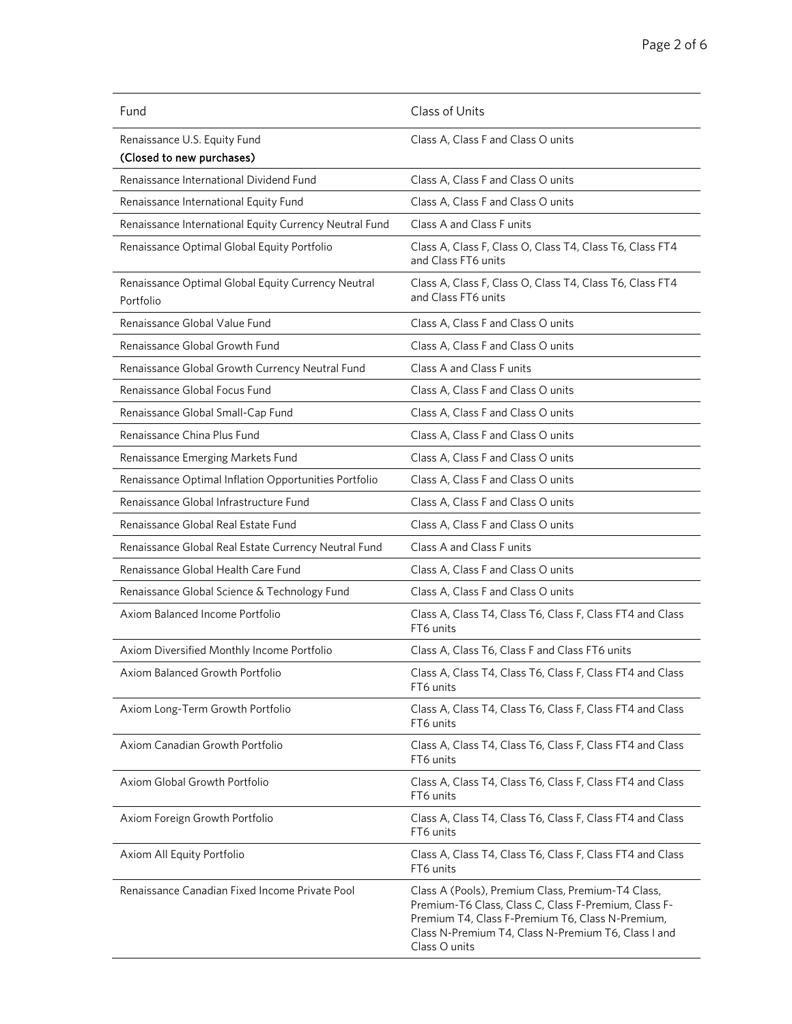| Fund                                                            | Class of Units                                                                                                                                                                                                                        |  |
|-----------------------------------------------------------------|---------------------------------------------------------------------------------------------------------------------------------------------------------------------------------------------------------------------------------------|--|
| Renaissance U.S. Equity Fund<br>(Closed to new purchases)       | Class A, Class F and Class O units                                                                                                                                                                                                    |  |
| Renaissance International Dividend Fund                         | Class A, Class F and Class O units                                                                                                                                                                                                    |  |
| Renaissance International Equity Fund                           | Class A, Class F and Class O units                                                                                                                                                                                                    |  |
| Renaissance International Equity Currency Neutral Fund          | Class A and Class F units                                                                                                                                                                                                             |  |
| Renaissance Optimal Global Equity Portfolio                     | Class A, Class F, Class O, Class T4, Class T6, Class FT4<br>and Class FT6 units                                                                                                                                                       |  |
| Renaissance Optimal Global Equity Currency Neutral<br>Portfolio | Class A, Class F, Class O, Class T4, Class T6, Class FT4<br>and Class FT6 units                                                                                                                                                       |  |
| Renaissance Global Value Fund                                   | Class A, Class F and Class O units                                                                                                                                                                                                    |  |
| Renaissance Global Growth Fund                                  | Class A, Class F and Class O units                                                                                                                                                                                                    |  |
| Renaissance Global Growth Currency Neutral Fund                 | Class A and Class F units                                                                                                                                                                                                             |  |
| Renaissance Global Focus Fund                                   | Class A, Class F and Class O units                                                                                                                                                                                                    |  |
| Renaissance Global Small-Cap Fund                               | Class A, Class F and Class O units                                                                                                                                                                                                    |  |
| Renaissance China Plus Fund                                     | Class A, Class F and Class O units                                                                                                                                                                                                    |  |
| Renaissance Emerging Markets Fund                               | Class A, Class F and Class O units                                                                                                                                                                                                    |  |
| Renaissance Optimal Inflation Opportunities Portfolio           | Class A, Class F and Class O units                                                                                                                                                                                                    |  |
| Renaissance Global Infrastructure Fund                          | Class A, Class F and Class O units                                                                                                                                                                                                    |  |
| Renaissance Global Real Estate Fund                             | Class A, Class F and Class O units                                                                                                                                                                                                    |  |
| Renaissance Global Real Estate Currency Neutral Fund            | Class A and Class F units                                                                                                                                                                                                             |  |
| Renaissance Global Health Care Fund                             | Class A, Class F and Class O units                                                                                                                                                                                                    |  |
| Renaissance Global Science & Technology Fund                    | Class A, Class F and Class O units                                                                                                                                                                                                    |  |
| Axiom Balanced Income Portfolio                                 | Class A, Class T4, Class T6, Class F, Class FT4 and Class<br>FT6 units                                                                                                                                                                |  |
| Axiom Diversified Monthly Income Portfolio                      | Class A, Class T6, Class F and Class FT6 units                                                                                                                                                                                        |  |
| Axiom Balanced Growth Portfolio                                 | Class A, Class T4, Class T6, Class F, Class FT4 and Class<br>FT6 units                                                                                                                                                                |  |
| Axiom Long-Term Growth Portfolio                                | Class A, Class T4, Class T6, Class F, Class FT4 and Class<br>FT6 units                                                                                                                                                                |  |
| Axiom Canadian Growth Portfolio                                 | Class A, Class T4, Class T6, Class F, Class FT4 and Class<br>FT6 units                                                                                                                                                                |  |
| Axiom Global Growth Portfolio                                   | Class A, Class T4, Class T6, Class F, Class FT4 and Class<br>FT6 units                                                                                                                                                                |  |
| Axiom Foreign Growth Portfolio                                  | Class A, Class T4, Class T6, Class F, Class FT4 and Class<br>FT6 units                                                                                                                                                                |  |
| Axiom All Equity Portfolio                                      | Class A, Class T4, Class T6, Class F, Class FT4 and Class<br>FT6 units                                                                                                                                                                |  |
| Renaissance Canadian Fixed Income Private Pool                  | Class A (Pools), Premium Class, Premium-T4 Class,<br>Premium-T6 Class, Class C, Class F-Premium, Class F-<br>Premium T4, Class F-Premium T6, Class N-Premium,<br>Class N-Premium T4, Class N-Premium T6, Class I and<br>Class O units |  |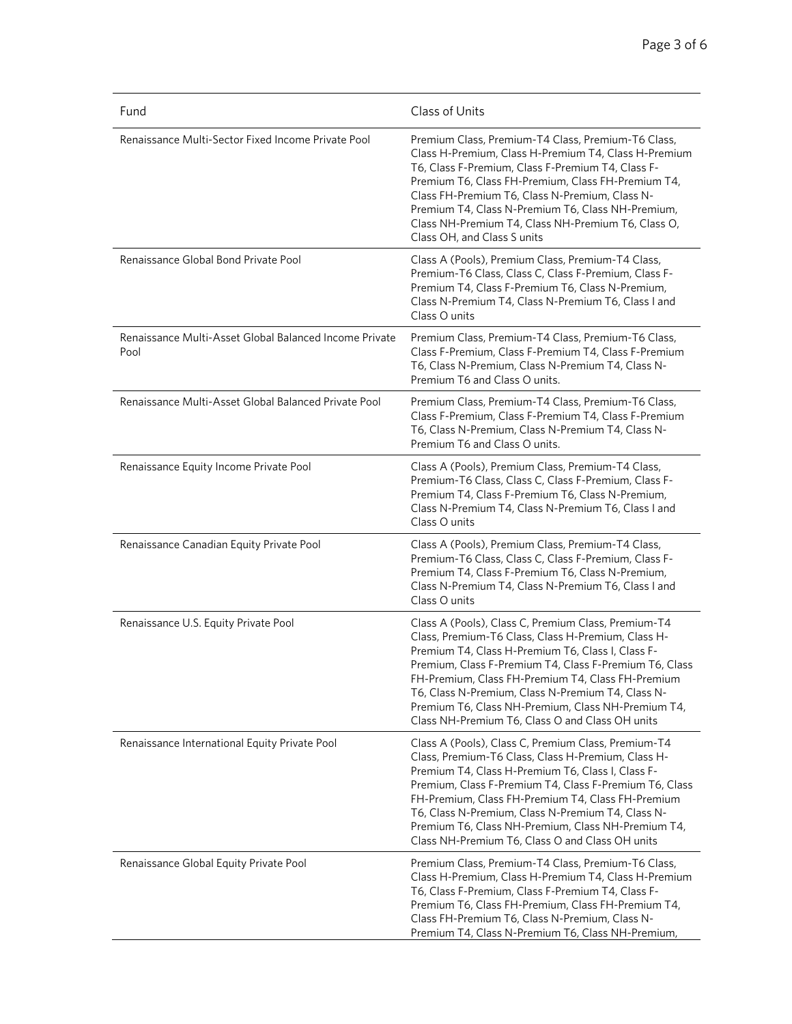| Fund                                                           | Class of Units                                                                                                                                                                                                                                                                                                                                                                                                                              |
|----------------------------------------------------------------|---------------------------------------------------------------------------------------------------------------------------------------------------------------------------------------------------------------------------------------------------------------------------------------------------------------------------------------------------------------------------------------------------------------------------------------------|
| Renaissance Multi-Sector Fixed Income Private Pool             | Premium Class, Premium-T4 Class, Premium-T6 Class,<br>Class H-Premium, Class H-Premium T4, Class H-Premium<br>T6, Class F-Premium, Class F-Premium T4, Class F-<br>Premium T6, Class FH-Premium, Class FH-Premium T4,<br>Class FH-Premium T6, Class N-Premium, Class N-<br>Premium T4, Class N-Premium T6, Class NH-Premium,<br>Class NH-Premium T4, Class NH-Premium T6, Class O,<br>Class OH, and Class S units                           |
| Renaissance Global Bond Private Pool                           | Class A (Pools), Premium Class, Premium-T4 Class,<br>Premium-T6 Class, Class C, Class F-Premium, Class F-<br>Premium T4, Class F-Premium T6, Class N-Premium,<br>Class N-Premium T4, Class N-Premium T6, Class I and<br>Class O units                                                                                                                                                                                                       |
| Renaissance Multi-Asset Global Balanced Income Private<br>Pool | Premium Class, Premium-T4 Class, Premium-T6 Class,<br>Class F-Premium, Class F-Premium T4, Class F-Premium<br>T6, Class N-Premium, Class N-Premium T4, Class N-<br>Premium T6 and Class O units.                                                                                                                                                                                                                                            |
| Renaissance Multi-Asset Global Balanced Private Pool           | Premium Class, Premium-T4 Class, Premium-T6 Class,<br>Class F-Premium, Class F-Premium T4, Class F-Premium<br>T6, Class N-Premium, Class N-Premium T4, Class N-<br>Premium T6 and Class O units.                                                                                                                                                                                                                                            |
| Renaissance Equity Income Private Pool                         | Class A (Pools), Premium Class, Premium-T4 Class,<br>Premium-T6 Class, Class C, Class F-Premium, Class F-<br>Premium T4, Class F-Premium T6, Class N-Premium,<br>Class N-Premium T4, Class N-Premium T6, Class I and<br>Class O units                                                                                                                                                                                                       |
| Renaissance Canadian Equity Private Pool                       | Class A (Pools), Premium Class, Premium-T4 Class,<br>Premium-T6 Class, Class C, Class F-Premium, Class F-<br>Premium T4, Class F-Premium T6, Class N-Premium,<br>Class N-Premium T4, Class N-Premium T6, Class I and<br>Class O units                                                                                                                                                                                                       |
| Renaissance U.S. Equity Private Pool                           | Class A (Pools), Class C, Premium Class, Premium-T4<br>Class, Premium-T6 Class, Class H-Premium, Class H-<br>Premium T4, Class H-Premium T6, Class I, Class F-<br>Premium, Class F-Premium T4, Class F-Premium T6, Class<br>FH-Premium, Class FH-Premium T4, Class FH-Premium<br>T6, Class N-Premium, Class N-Premium T4, Class N-<br>Premium T6, Class NH-Premium, Class NH-Premium T4,<br>Class NH-Premium T6, Class O and Class OH units |
| Renaissance International Equity Private Pool                  | Class A (Pools), Class C, Premium Class, Premium-T4<br>Class, Premium-T6 Class, Class H-Premium, Class H-<br>Premium T4, Class H-Premium T6, Class I, Class F-<br>Premium, Class F-Premium T4, Class F-Premium T6, Class<br>FH-Premium, Class FH-Premium T4, Class FH-Premium<br>T6, Class N-Premium, Class N-Premium T4, Class N-<br>Premium T6, Class NH-Premium, Class NH-Premium T4,<br>Class NH-Premium T6, Class O and Class OH units |
| Renaissance Global Equity Private Pool                         | Premium Class, Premium-T4 Class, Premium-T6 Class,<br>Class H-Premium, Class H-Premium T4, Class H-Premium<br>T6, Class F-Premium, Class F-Premium T4, Class F-<br>Premium T6, Class FH-Premium, Class FH-Premium T4,<br>Class FH-Premium T6, Class N-Premium, Class N-<br>Premium T4, Class N-Premium T6, Class NH-Premium,                                                                                                                |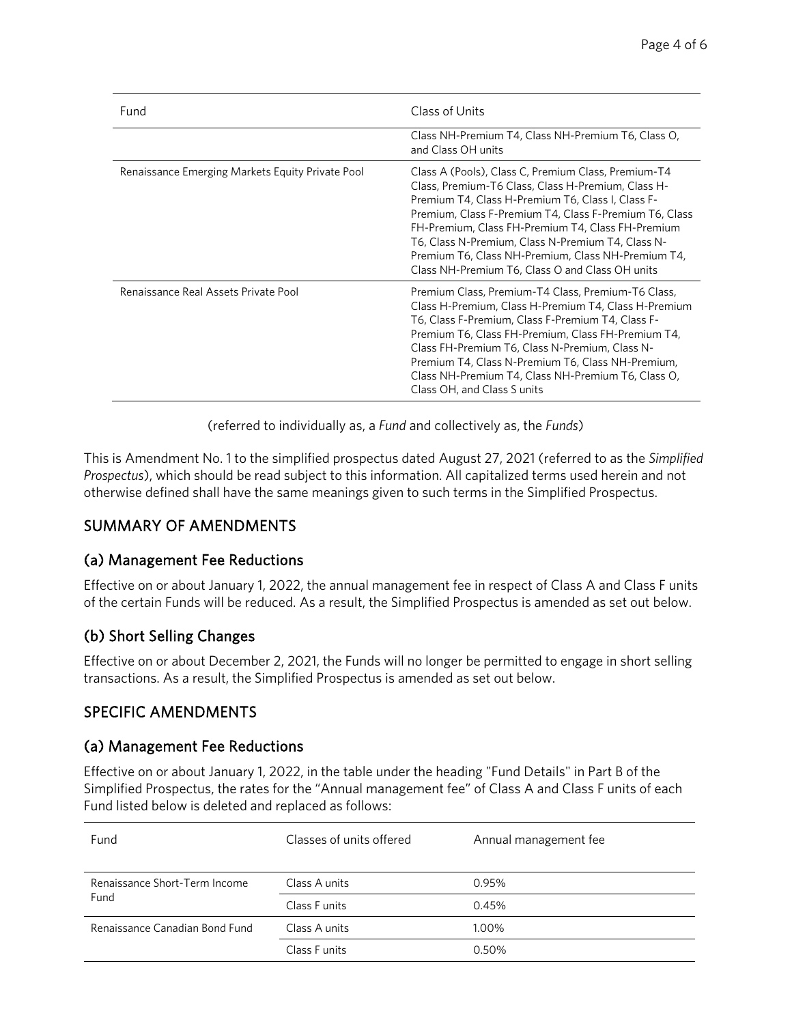| Fund                                             | Class of Units                                                                                                                                                                                                                                                                                                                                                                                                                              |  |
|--------------------------------------------------|---------------------------------------------------------------------------------------------------------------------------------------------------------------------------------------------------------------------------------------------------------------------------------------------------------------------------------------------------------------------------------------------------------------------------------------------|--|
|                                                  | Class NH-Premium T4, Class NH-Premium T6, Class O,<br>and Class OH units                                                                                                                                                                                                                                                                                                                                                                    |  |
| Renaissance Emerging Markets Equity Private Pool | Class A (Pools), Class C, Premium Class, Premium-T4<br>Class, Premium-T6 Class, Class H-Premium, Class H-<br>Premium T4, Class H-Premium T6, Class I, Class F-<br>Premium, Class F-Premium T4, Class F-Premium T6, Class<br>FH-Premium, Class FH-Premium T4, Class FH-Premium<br>T6, Class N-Premium, Class N-Premium T4, Class N-<br>Premium T6, Class NH-Premium, Class NH-Premium T4,<br>Class NH-Premium T6, Class O and Class OH units |  |
| Renaissance Real Assets Private Pool             | Premium Class, Premium-T4 Class, Premium-T6 Class,<br>Class H-Premium, Class H-Premium T4, Class H-Premium<br>T6, Class F-Premium, Class F-Premium T4, Class F-<br>Premium T6, Class FH-Premium, Class FH-Premium T4,<br>Class FH-Premium T6, Class N-Premium, Class N-<br>Premium T4, Class N-Premium T6, Class NH-Premium,<br>Class NH-Premium T4, Class NH-Premium T6, Class O,<br>Class OH, and Class S units                           |  |

(referred to individually as, a *Fund* and collectively as, the *Funds*)

This is Amendment No. 1 to the simplified prospectus dated August 27, 2021 (referred to as the *Simplified Prospectus*), which should be read subject to this information. All capitalized terms used herein and not otherwise defined shall have the same meanings given to such terms in the Simplified Prospectus.

### SUMMARY OF AMENDMENTS

#### (a) Management Fee Reductions

Effective on or about January 1, 2022, the annual management fee in respect of Class A and Class F units of the certain Funds will be reduced. As a result, the Simplified Prospectus is amended as set out below.

### (b) Short Selling Changes

Effective on or about December 2, 2021, the Funds will no longer be permitted to engage in short selling transactions. As a result, the Simplified Prospectus is amended as set out below.

### SPECIFIC AMENDMENTS

#### (a) Management Fee Reductions

Effective on or about January 1, 2022, in the table under the heading "Fund Details" in Part B of the Simplified Prospectus, the rates for the "Annual management fee" of Class A and Class F units of each Fund listed below is deleted and replaced as follows:

| Fund                                  | Classes of units offered | Annual management fee |
|---------------------------------------|--------------------------|-----------------------|
| Renaissance Short-Term Income<br>Fund | Class A units            | 0.95%                 |
|                                       | Class F units            | 0.45%                 |
| Renaissance Canadian Bond Fund        | Class A units            | 1.00%                 |
|                                       | Class F units            | 0.50%                 |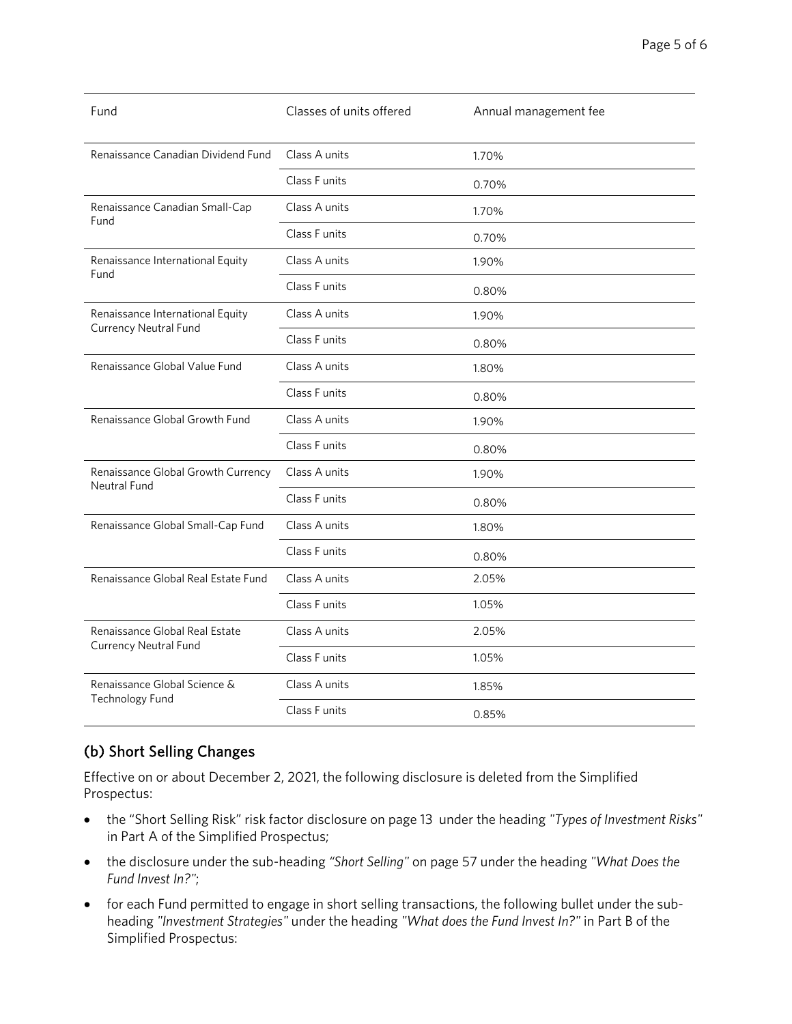| Fund                                                             | Classes of units offered | Annual management fee |
|------------------------------------------------------------------|--------------------------|-----------------------|
| Renaissance Canadian Dividend Fund                               | Class A units            | 1.70%                 |
|                                                                  | Class F units            | 0.70%                 |
| Renaissance Canadian Small-Cap<br>Fund                           | Class A units            | 1.70%                 |
|                                                                  | Class F units            | 0.70%                 |
| Renaissance International Equity<br>Fund                         | Class A units            | 1.90%                 |
|                                                                  | Class Funits             | 0.80%                 |
| Renaissance International Equity<br><b>Currency Neutral Fund</b> | Class A units            | 1.90%                 |
|                                                                  | Class F units            | 0.80%                 |
| Renaissance Global Value Fund                                    | Class A units            | 1.80%                 |
|                                                                  | Class F units            | 0.80%                 |
| Renaissance Global Growth Fund                                   | Class A units            | 1.90%                 |
|                                                                  | Class F units            | 0.80%                 |
| Renaissance Global Growth Currency<br><b>Neutral Fund</b>        | Class A units            | 1.90%                 |
|                                                                  | Class F units            | 0.80%                 |
| Renaissance Global Small-Cap Fund                                | Class A units            | 1.80%                 |
|                                                                  | Class F units            | 0.80%                 |
| Renaissance Global Real Estate Fund                              | Class A units            | 2.05%                 |
|                                                                  | Class F units            | 1.05%                 |
| Renaissance Global Real Estate<br><b>Currency Neutral Fund</b>   | Class A units            | 2.05%                 |
|                                                                  | Class F units            | 1.05%                 |
| Renaissance Global Science &<br><b>Technology Fund</b>           | Class A units            | 1.85%                 |
|                                                                  | Class F units            | 0.85%                 |

# (b) Short Selling Changes

Effective on or about December 2, 2021, the following disclosure is deleted from the Simplified Prospectus:

- the "Short Selling Risk" risk factor disclosure on page 13 under the heading *"Types of Investment Risks"* in Part A of the Simplified Prospectus;
- the disclosure under the sub-heading *"Short Selling"* on page 57 under the heading *"What Does the Fund Invest In?"*;
- for each Fund permitted to engage in short selling transactions, the following bullet under the subheading *"Investment Strategies"* under the heading *"What does the Fund Invest In?"* in Part B of the Simplified Prospectus: